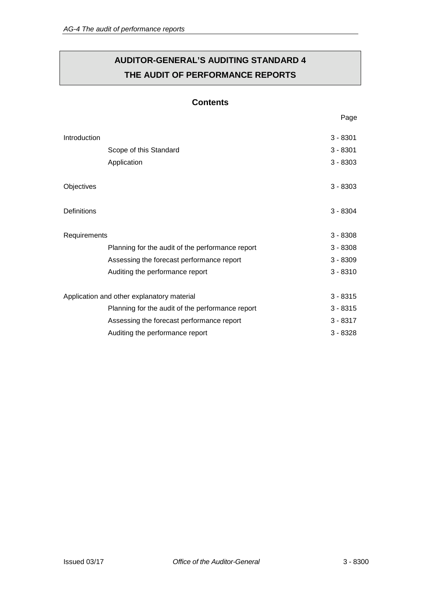# **AUDITOR-GENERAL'S AUDITING STANDARD 4 THE AUDIT OF PERFORMANCE REPORTS**

## **Contents**

| Introduction                               |                                                  | $3 - 8301$ |
|--------------------------------------------|--------------------------------------------------|------------|
|                                            | Scope of this Standard                           | $3 - 8301$ |
|                                            | Application                                      | $3 - 8303$ |
| Objectives                                 |                                                  | $3 - 8303$ |
| Definitions                                |                                                  | $3 - 8304$ |
| Requirements                               |                                                  | $3 - 8308$ |
|                                            | Planning for the audit of the performance report | $3 - 8308$ |
|                                            | Assessing the forecast performance report        | $3 - 8309$ |
|                                            | Auditing the performance report                  | $3 - 8310$ |
| Application and other explanatory material |                                                  | $3 - 8315$ |
|                                            | Planning for the audit of the performance report | $3 - 8315$ |
|                                            | Assessing the forecast performance report        | $3 - 8317$ |
|                                            | Auditing the performance report                  | $3 - 8328$ |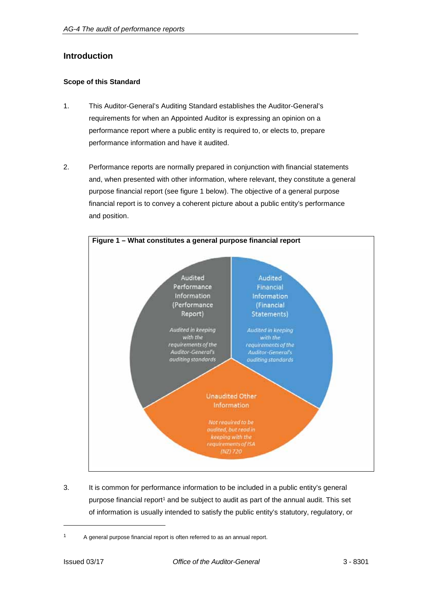## **Introduction**

## **Scope of this Standard**

- 1. This Auditor-General's Auditing Standard establishes the Auditor-General's requirements for when an Appointed Auditor is expressing an opinion on a performance report where a public entity is required to, or elects to, prepare performance information and have it audited.
- 2. Performance reports are normally prepared in conjunction with financial statements and, when presented with other information, where relevant, they constitute a general purpose financial report (see figure 1 below). The objective of a general purpose financial report is to convey a coherent picture about a public entity's performance and position.



3. It is common for performance information to be included in a public entity's general purpose financial report<sup>1</sup> and be subject to audit as part of the annual audit. This set of information is usually intended to satisfy the public entity's statutory, regulatory, or

<sup>&</sup>lt;sup>1</sup> A general purpose financial report is often referred to as an annual report.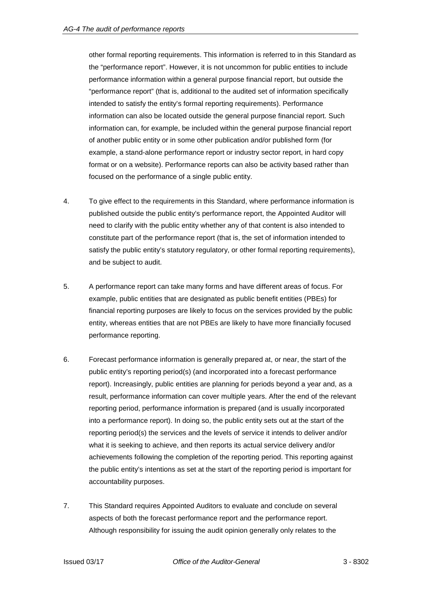other formal reporting requirements. This information is referred to in this Standard as the "performance report". However, it is not uncommon for public entities to include performance information within a general purpose financial report, but outside the "performance report" (that is, additional to the audited set of information specifically intended to satisfy the entity's formal reporting requirements). Performance information can also be located outside the general purpose financial report. Such information can, for example, be included within the general purpose financial report of another public entity or in some other publication and/or published form (for example, a stand-alone performance report or industry sector report, in hard copy format or on a website). Performance reports can also be activity based rather than focused on the performance of a single public entity.

- 4. To give effect to the requirements in this Standard, where performance information is published outside the public entity's performance report, the Appointed Auditor will need to clarify with the public entity whether any of that content is also intended to constitute part of the performance report (that is, the set of information intended to satisfy the public entity's statutory regulatory, or other formal reporting requirements), and be subject to audit.
- 5. A performance report can take many forms and have different areas of focus. For example, public entities that are designated as public benefit entities (PBEs) for financial reporting purposes are likely to focus on the services provided by the public entity, whereas entities that are not PBEs are likely to have more financially focused performance reporting.
- 6. Forecast performance information is generally prepared at, or near, the start of the public entity's reporting period(s) (and incorporated into a forecast performance report). Increasingly, public entities are planning for periods beyond a year and, as a result, performance information can cover multiple years. After the end of the relevant reporting period, performance information is prepared (and is usually incorporated into a performance report). In doing so, the public entity sets out at the start of the reporting period(s) the services and the levels of service it intends to deliver and/or what it is seeking to achieve, and then reports its actual service delivery and/or achievements following the completion of the reporting period. This reporting against the public entity's intentions as set at the start of the reporting period is important for accountability purposes.
- 7. This Standard requires Appointed Auditors to evaluate and conclude on several aspects of both the forecast performance report and the performance report. Although responsibility for issuing the audit opinion generally only relates to the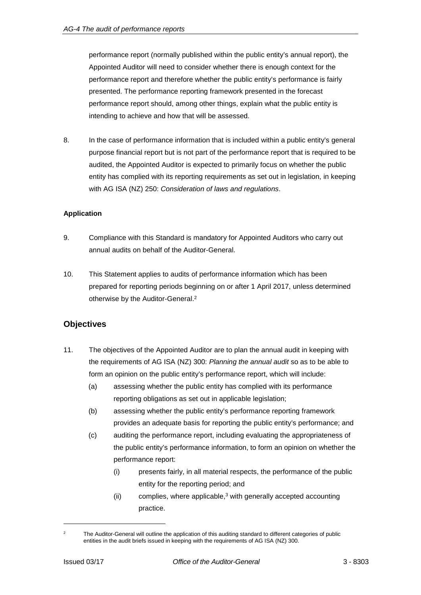performance report (normally published within the public entity's annual report), the Appointed Auditor will need to consider whether there is enough context for the performance report and therefore whether the public entity's performance is fairly presented. The performance reporting framework presented in the forecast performance report should, among other things, explain what the public entity is intending to achieve and how that will be assessed.

8. In the case of performance information that is included within a public entity's general purpose financial report but is not part of the performance report that is required to be audited, the Appointed Auditor is expected to primarily focus on whether the public entity has complied with its reporting requirements as set out in legislation, in keeping with AG ISA (NZ) 250: *Consideration of laws and regulations*.

## **Application**

- 9. Compliance with this Standard is mandatory for Appointed Auditors who carry out annual audits on behalf of the Auditor-General.
- 10. This Statement applies to audits of performance information which has been prepared for reporting periods beginning on or after 1 April 2017, unless determined otherwise by the Auditor-General.2

## **Objectives**

- 11. The objectives of the Appointed Auditor are to plan the annual audit in keeping with the requirements of AG ISA (NZ) 300: *Planning the annual audit* so as to be able to form an opinion on the public entity's performance report, which will include:
	- (a) assessing whether the public entity has complied with its performance reporting obligations as set out in applicable legislation;
	- (b) assessing whether the public entity's performance reporting framework provides an adequate basis for reporting the public entity's performance; and
	- (c) auditing the performance report, including evaluating the appropriateness of the public entity's performance information, to form an opinion on whether the performance report:
		- (i) presents fairly, in all material respects, the performance of the public entity for the reporting period; and
		- $(i)$  complies, where applicable,<sup>3</sup> with generally accepted accounting practice.

<sup>&</sup>lt;sup>2</sup> The Auditor-General will outline the application of this auditing standard to different categories of public entities in the audit briefs issued in keeping with the requirements of AG ISA (NZ) 300.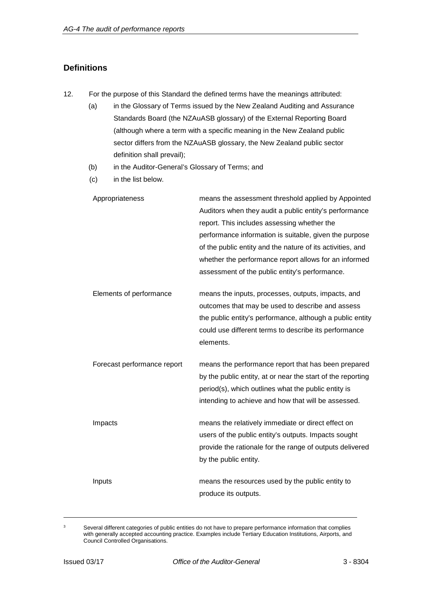## **Definitions**

- 12. For the purpose of this Standard the defined terms have the meanings attributed:
	- (a) in the Glossary of Terms issued by the New Zealand Auditing and Assurance Standards Board (the NZAuASB glossary) of the External Reporting Board (although where a term with a specific meaning in the New Zealand public sector differs from the NZAuASB glossary, the New Zealand public sector definition shall prevail);
	- (b) in the Auditor-General's Glossary of Terms; and
	- (c) in the list below.

| Appropriateness             | means the assessment threshold applied by Appointed<br>Auditors when they audit a public entity's performance<br>report. This includes assessing whether the<br>performance information is suitable, given the purpose<br>of the public entity and the nature of its activities, and<br>whether the performance report allows for an informed<br>assessment of the public entity's performance. |
|-----------------------------|-------------------------------------------------------------------------------------------------------------------------------------------------------------------------------------------------------------------------------------------------------------------------------------------------------------------------------------------------------------------------------------------------|
| Elements of performance     | means the inputs, processes, outputs, impacts, and<br>outcomes that may be used to describe and assess<br>the public entity's performance, although a public entity<br>could use different terms to describe its performance<br>elements.                                                                                                                                                       |
| Forecast performance report | means the performance report that has been prepared<br>by the public entity, at or near the start of the reporting<br>period(s), which outlines what the public entity is<br>intending to achieve and how that will be assessed.                                                                                                                                                                |
| Impacts                     | means the relatively immediate or direct effect on<br>users of the public entity's outputs. Impacts sought<br>provide the rationale for the range of outputs delivered<br>by the public entity.                                                                                                                                                                                                 |
| Inputs                      | means the resources used by the public entity to<br>produce its outputs.                                                                                                                                                                                                                                                                                                                        |

<sup>&</sup>lt;sup>3</sup> Several different categories of public entities do not have to prepare performance information that complies with generally accepted accounting practice. Examples include Tertiary Education Institutions, Airports, and Council Controlled Organisations.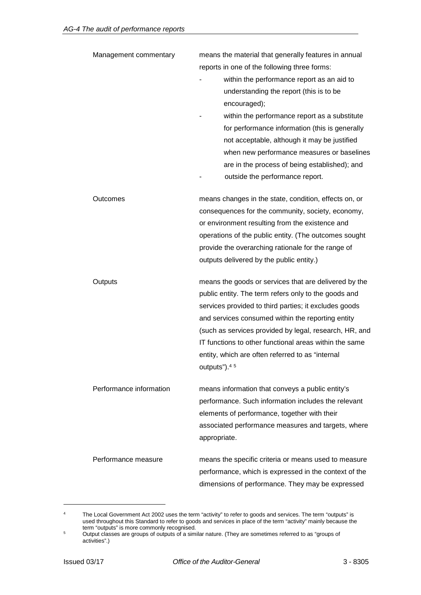| Management commentary   | means the material that generally features in annual<br>reports in one of the following three forms:<br>within the performance report as an aid to<br>understanding the report (this is to be<br>encouraged);<br>within the performance report as a substitute<br>for performance information (this is generally<br>not acceptable, although it may be justified<br>when new performance measures or baselines<br>are in the process of being established); and<br>outside the performance report. |
|-------------------------|----------------------------------------------------------------------------------------------------------------------------------------------------------------------------------------------------------------------------------------------------------------------------------------------------------------------------------------------------------------------------------------------------------------------------------------------------------------------------------------------------|
| Outcomes                | means changes in the state, condition, effects on, or<br>consequences for the community, society, economy,<br>or environment resulting from the existence and<br>operations of the public entity. (The outcomes sought<br>provide the overarching rationale for the range of<br>outputs delivered by the public entity.)                                                                                                                                                                           |
| Outputs                 | means the goods or services that are delivered by the<br>public entity. The term refers only to the goods and<br>services provided to third parties; it excludes goods<br>and services consumed within the reporting entity<br>(such as services provided by legal, research, HR, and<br>IT functions to other functional areas within the same<br>entity, which are often referred to as "internal<br>outputs"). <sup>45</sup>                                                                    |
| Performance information | means information that conveys a public entity's<br>performance. Such information includes the relevant<br>elements of performance, together with their<br>associated performance measures and targets, where<br>appropriate.                                                                                                                                                                                                                                                                      |
| Performance measure     | means the specific criteria or means used to measure<br>performance, which is expressed in the context of the<br>dimensions of performance. They may be expressed                                                                                                                                                                                                                                                                                                                                  |

<sup>&</sup>lt;sup>4</sup> The Local Government Act 2002 uses the term "activity" to refer to goods and services. The term "outputs" is used throughout this Standard to refer to goods and services in place of the term "activity" mainly because the term "outputs" is more commonly recognised.

 $5$  Output classes are groups of outputs of a similar nature. (They are sometimes referred to as "groups of activities".)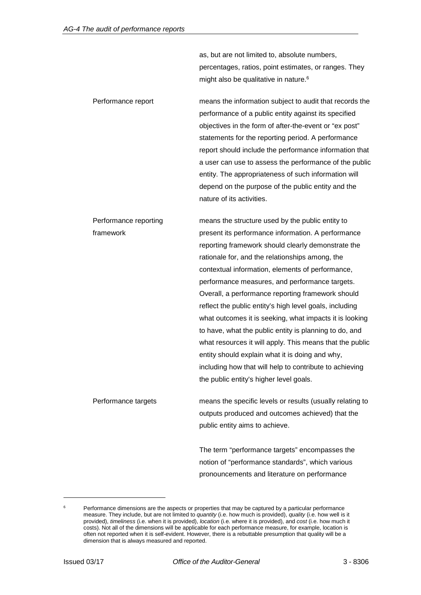as, but are not limited to, absolute numbers, percentages, ratios, point estimates, or ranges. They might also be qualitative in nature.<sup>6</sup>

Performance report means the information subject to audit that records the performance of a public entity against its specified objectives in the form of after-the-event or "ex post" statements for the reporting period. A performance report should include the performance information that a user can use to assess the performance of the public entity. The appropriateness of such information will depend on the purpose of the public entity and the nature of its activities.

Performance reporting framework means the structure used by the public entity to present its performance information. A performance reporting framework should clearly demonstrate the rationale for, and the relationships among, the contextual information, elements of performance, performance measures, and performance targets. Overall, a performance reporting framework should reflect the public entity's high level goals, including what outcomes it is seeking, what impacts it is looking to have, what the public entity is planning to do, and what resources it will apply. This means that the public entity should explain what it is doing and why, including how that will help to contribute to achieving the public entity's higher level goals.

Performance targets means the specific levels or results (usually relating to outputs produced and outcomes achieved) that the public entity aims to achieve.

> The term "performance targets" encompasses the notion of "performance standards", which various pronouncements and literature on performance

Performance dimensions are the aspects or properties that may be captured by a particular performance measure. They include, but are not limited to *quantity* (i.e. how much is provided), *quality* (i.e. how well is it provided), *timeliness* (i.e. when it is provided), *location* (i.e. where it is provided), and *cost* (i.e. how much it costs). Not all of the dimensions will be applicable for each performance measure, for example, location is often not reported when it is self-evident. However, there is a rebuttable presumption that quality will be a dimension that is always measured and reported.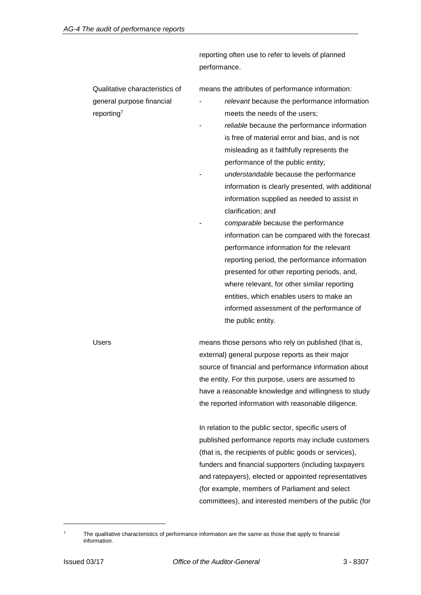reporting often use to refer to levels of planned performance.

Qualitative characteristics of general purpose financial reporting7

means the attributes of performance information:

- relevant because the performance information meets the needs of the users;
- reliable because the performance information is free of material error and bias, and is not misleading as it faithfully represents the performance of the public entity;
- *understandable* because the performance information is clearly presented, with additional information supplied as needed to assist in clarification; and
- *comparable* because the performance information can be compared with the forecast performance information for the relevant reporting period, the performance information presented for other reporting periods, and, where relevant, for other similar reporting entities, which enables users to make an informed assessment of the performance of the public entity.

Users means those persons who rely on published (that is, external) general purpose reports as their major source of financial and performance information about the entity. For this purpose, users are assumed to have a reasonable knowledge and willingness to study the reported information with reasonable diligence.

> In relation to the public sector, specific users of published performance reports may include customers (that is, the recipients of public goods or services), funders and financial supporters (including taxpayers and ratepayers), elected or appointed representatives (for example, members of Parliament and select committees), and interested members of the public (for

The qualitative characteristics of performance information are the same as those that apply to financial information.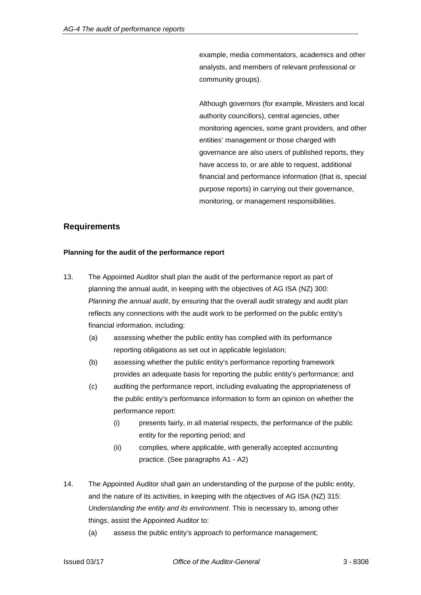example, media commentators, academics and other analysts, and members of relevant professional or community groups).

Although governors (for example, Ministers and local authority councillors), central agencies, other monitoring agencies, some grant providers, and other entities' management or those charged with governance are also users of published reports, they have access to, or are able to request, additional financial and performance information (that is, special purpose reports) in carrying out their governance, monitoring, or management responsibilities.

## **Requirements**

#### **Planning for the audit of the performance report**

- 13. The Appointed Auditor shall plan the audit of the performance report as part of planning the annual audit, in keeping with the objectives of AG ISA (NZ) 300: *Planning the annual audit*, by ensuring that the overall audit strategy and audit plan reflects any connections with the audit work to be performed on the public entity's financial information, including:
	- (a) assessing whether the public entity has complied with its performance reporting obligations as set out in applicable legislation;
	- (b) assessing whether the public entity's performance reporting framework provides an adequate basis for reporting the public entity's performance; and
	- (c) auditing the performance report, including evaluating the appropriateness of the public entity's performance information to form an opinion on whether the performance report:
		- (i) presents fairly, in all material respects, the performance of the public entity for the reporting period; and
		- (ii) complies, where applicable, with generally accepted accounting practice. (See paragraphs A1 - A2)
- 14. The Appointed Auditor shall gain an understanding of the purpose of the public entity, and the nature of its activities, in keeping with the objectives of AG ISA (NZ) 315: *Understanding the entity and its environment*. This is necessary to, among other things, assist the Appointed Auditor to:
	- (a) assess the public entity's approach to performance management;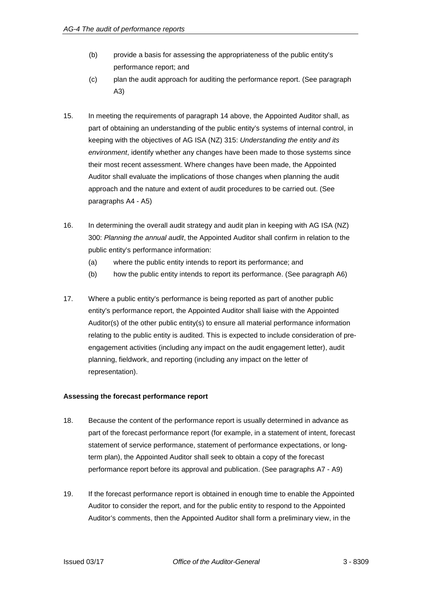- (b) provide a basis for assessing the appropriateness of the public entity's performance report; and
- (c) plan the audit approach for auditing the performance report. (See paragraph A3)
- 15. In meeting the requirements of paragraph 14 above, the Appointed Auditor shall, as part of obtaining an understanding of the public entity's systems of internal control, in keeping with the objectives of AG ISA (NZ) 315: *Understanding the entity and its environment*, identify whether any changes have been made to those systems since their most recent assessment. Where changes have been made, the Appointed Auditor shall evaluate the implications of those changes when planning the audit approach and the nature and extent of audit procedures to be carried out. (See paragraphs A4 - A5)
- 16. In determining the overall audit strategy and audit plan in keeping with AG ISA (NZ) 300: *Planning the annual audit*, the Appointed Auditor shall confirm in relation to the public entity's performance information:
	- (a) where the public entity intends to report its performance; and
	- (b) how the public entity intends to report its performance. (See paragraph A6)
- 17. Where a public entity's performance is being reported as part of another public entity's performance report, the Appointed Auditor shall liaise with the Appointed Auditor(s) of the other public entity(s) to ensure all material performance information relating to the public entity is audited. This is expected to include consideration of preengagement activities (including any impact on the audit engagement letter), audit planning, fieldwork, and reporting (including any impact on the letter of representation).

## **Assessing the forecast performance report**

- 18. Because the content of the performance report is usually determined in advance as part of the forecast performance report (for example, in a statement of intent, forecast statement of service performance, statement of performance expectations, or longterm plan), the Appointed Auditor shall seek to obtain a copy of the forecast performance report before its approval and publication. (See paragraphs A7 - A9)
- 19. If the forecast performance report is obtained in enough time to enable the Appointed Auditor to consider the report, and for the public entity to respond to the Appointed Auditor's comments, then the Appointed Auditor shall form a preliminary view, in the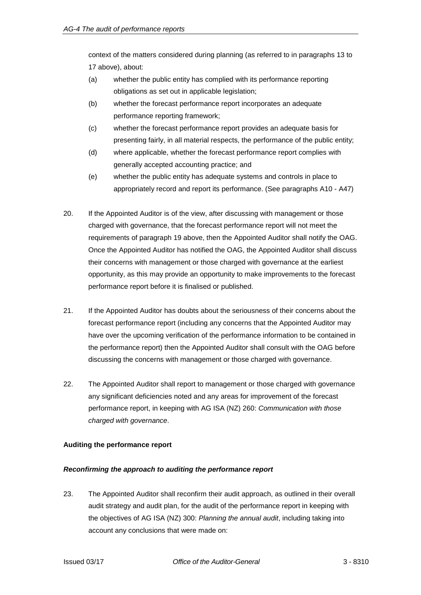context of the matters considered during planning (as referred to in paragraphs 13 to 17 above), about:

- (a) whether the public entity has complied with its performance reporting obligations as set out in applicable legislation;
- (b) whether the forecast performance report incorporates an adequate performance reporting framework;
- (c) whether the forecast performance report provides an adequate basis for presenting fairly, in all material respects, the performance of the public entity;
- (d) where applicable, whether the forecast performance report complies with generally accepted accounting practice; and
- (e) whether the public entity has adequate systems and controls in place to appropriately record and report its performance. (See paragraphs A10 - A47)
- 20. If the Appointed Auditor is of the view, after discussing with management or those charged with governance, that the forecast performance report will not meet the requirements of paragraph 19 above, then the Appointed Auditor shall notify the OAG. Once the Appointed Auditor has notified the OAG, the Appointed Auditor shall discuss their concerns with management or those charged with governance at the earliest opportunity, as this may provide an opportunity to make improvements to the forecast performance report before it is finalised or published.
- 21. If the Appointed Auditor has doubts about the seriousness of their concerns about the forecast performance report (including any concerns that the Appointed Auditor may have over the upcoming verification of the performance information to be contained in the performance report) then the Appointed Auditor shall consult with the OAG before discussing the concerns with management or those charged with governance.
- 22. The Appointed Auditor shall report to management or those charged with governance any significant deficiencies noted and any areas for improvement of the forecast performance report, in keeping with AG ISA (NZ) 260: *Communication with those charged with governance*.

## **Auditing the performance report**

## *Reconfirming the approach to auditing the performance report*

23. The Appointed Auditor shall reconfirm their audit approach, as outlined in their overall audit strategy and audit plan, for the audit of the performance report in keeping with the objectives of AG ISA (NZ) 300: *Planning the annual audit*, including taking into account any conclusions that were made on: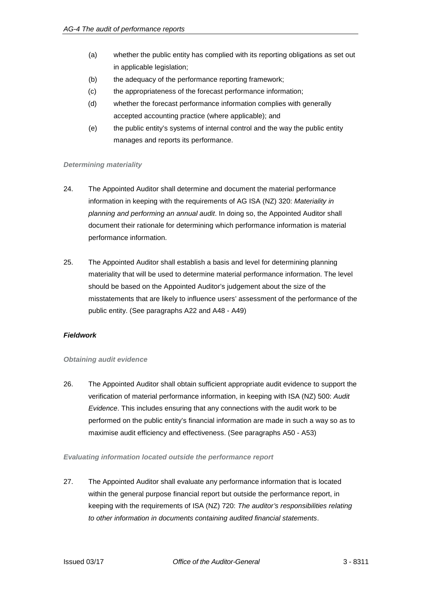- (a) whether the public entity has complied with its reporting obligations as set out in applicable legislation;
- (b) the adequacy of the performance reporting framework;
- (c) the appropriateness of the forecast performance information;
- (d) whether the forecast performance information complies with generally accepted accounting practice (where applicable); and
- (e) the public entity's systems of internal control and the way the public entity manages and reports its performance.

#### *Determining materiality*

- 24. The Appointed Auditor shall determine and document the material performance information in keeping with the requirements of AG ISA (NZ) 320: *Materiality in planning and performing an annual audit*. In doing so, the Appointed Auditor shall document their rationale for determining which performance information is material performance information.
- 25. The Appointed Auditor shall establish a basis and level for determining planning materiality that will be used to determine material performance information. The level should be based on the Appointed Auditor's judgement about the size of the misstatements that are likely to influence users' assessment of the performance of the public entity. (See paragraphs A22 and A48 - A49)

## *Fieldwork*

#### *Obtaining audit evidence*

26. The Appointed Auditor shall obtain sufficient appropriate audit evidence to support the verification of material performance information, in keeping with ISA (NZ) 500: *Audit Evidence*. This includes ensuring that any connections with the audit work to be performed on the public entity's financial information are made in such a way so as to maximise audit efficiency and effectiveness. (See paragraphs A50 - A53)

#### *Evaluating information located outside the performance report*

27. The Appointed Auditor shall evaluate any performance information that is located within the general purpose financial report but outside the performance report, in keeping with the requirements of ISA (NZ) 720: *The auditor's responsibilities relating to other information in documents containing audited financial statements*.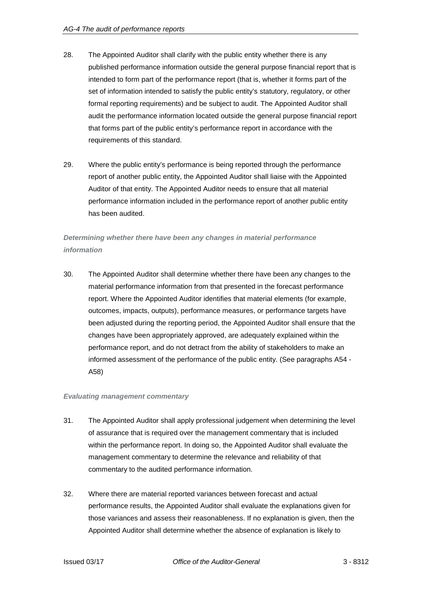- 28. The Appointed Auditor shall clarify with the public entity whether there is any published performance information outside the general purpose financial report that is intended to form part of the performance report (that is, whether it forms part of the set of information intended to satisfy the public entity's statutory, regulatory, or other formal reporting requirements) and be subject to audit. The Appointed Auditor shall audit the performance information located outside the general purpose financial report that forms part of the public entity's performance report in accordance with the requirements of this standard.
- 29. Where the public entity's performance is being reported through the performance report of another public entity, the Appointed Auditor shall liaise with the Appointed Auditor of that entity. The Appointed Auditor needs to ensure that all material performance information included in the performance report of another public entity has been audited.

## *Determining whether there have been any changes in material performance information*

30. The Appointed Auditor shall determine whether there have been any changes to the material performance information from that presented in the forecast performance report. Where the Appointed Auditor identifies that material elements (for example, outcomes, impacts, outputs), performance measures, or performance targets have been adjusted during the reporting period, the Appointed Auditor shall ensure that the changes have been appropriately approved, are adequately explained within the performance report, and do not detract from the ability of stakeholders to make an informed assessment of the performance of the public entity. (See paragraphs A54 - A58)

## *Evaluating management commentary*

- 31. The Appointed Auditor shall apply professional judgement when determining the level of assurance that is required over the management commentary that is included within the performance report. In doing so, the Appointed Auditor shall evaluate the management commentary to determine the relevance and reliability of that commentary to the audited performance information.
- 32. Where there are material reported variances between forecast and actual performance results, the Appointed Auditor shall evaluate the explanations given for those variances and assess their reasonableness. If no explanation is given, then the Appointed Auditor shall determine whether the absence of explanation is likely to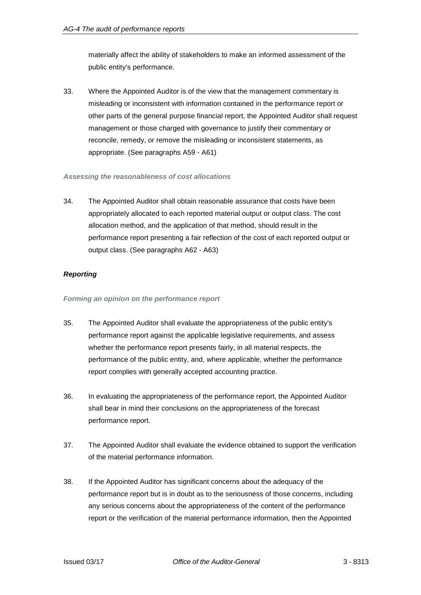materially affect the ability of stakeholders to make an informed assessment of the public entity's performance.

33. Where the Appointed Auditor is of the view that the management commentary is misleading or inconsistent with information contained in the performance report or other parts of the general purpose financial report, the Appointed Auditor shall request management or those charged with governance to justify their commentary or reconcile, remedy, or remove the misleading or inconsistent statements, as appropriate. (See paragraphs A59 - A61)

#### *Assessing the reasonableness of cost allocations*

34. The Appointed Auditor shall obtain reasonable assurance that costs have been appropriately allocated to each reported material output or output class. The cost allocation method, and the application of that method, should result in the performance report presenting a fair reflection of the cost of each reported output or output class. (See paragraphs A62 - A63)

## *Reporting*

#### *Forming an opinion on the performance report*

- 35. The Appointed Auditor shall evaluate the appropriateness of the public entity's performance report against the applicable legislative requirements, and assess whether the performance report presents fairly, in all material respects, the performance of the public entity, and, where applicable, whether the performance report complies with generally accepted accounting practice.
- 36. In evaluating the appropriateness of the performance report, the Appointed Auditor shall bear in mind their conclusions on the appropriateness of the forecast performance report.
- 37. The Appointed Auditor shall evaluate the evidence obtained to support the verification of the material performance information.
- 38. If the Appointed Auditor has significant concerns about the adequacy of the performance report but is in doubt as to the seriousness of those concerns, including any serious concerns about the appropriateness of the content of the performance report or the verification of the material performance information, then the Appointed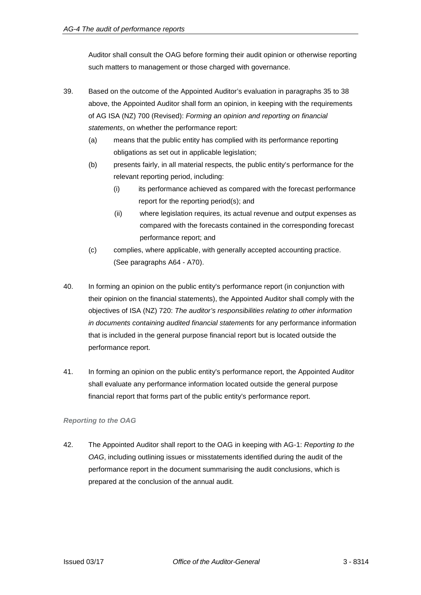Auditor shall consult the OAG before forming their audit opinion or otherwise reporting such matters to management or those charged with governance.

- 39. Based on the outcome of the Appointed Auditor's evaluation in paragraphs 35 to 38 above, the Appointed Auditor shall form an opinion, in keeping with the requirements of AG ISA (NZ) 700 (Revised): *Forming an opinion and reporting on financial statements*, on whether the performance report:
	- (a) means that the public entity has complied with its performance reporting obligations as set out in applicable legislation;
	- (b) presents fairly, in all material respects, the public entity's performance for the relevant reporting period, including:
		- (i) its performance achieved as compared with the forecast performance report for the reporting period(s); and
		- (ii) where legislation requires, its actual revenue and output expenses as compared with the forecasts contained in the corresponding forecast performance report; and
	- (c) complies, where applicable, with generally accepted accounting practice. (See paragraphs A64 - A70).
- 40. In forming an opinion on the public entity's performance report (in conjunction with their opinion on the financial statements), the Appointed Auditor shall comply with the objectives of ISA (NZ) 720: *The auditor's responsibilities relating to other information in documents containing audited financial statements* for any performance information that is included in the general purpose financial report but is located outside the performance report.
- 41. In forming an opinion on the public entity's performance report, the Appointed Auditor shall evaluate any performance information located outside the general purpose financial report that forms part of the public entity's performance report.

## *Reporting to the OAG*

42. The Appointed Auditor shall report to the OAG in keeping with AG-1: *Reporting to the OAG*, including outlining issues or misstatements identified during the audit of the performance report in the document summarising the audit conclusions, which is prepared at the conclusion of the annual audit.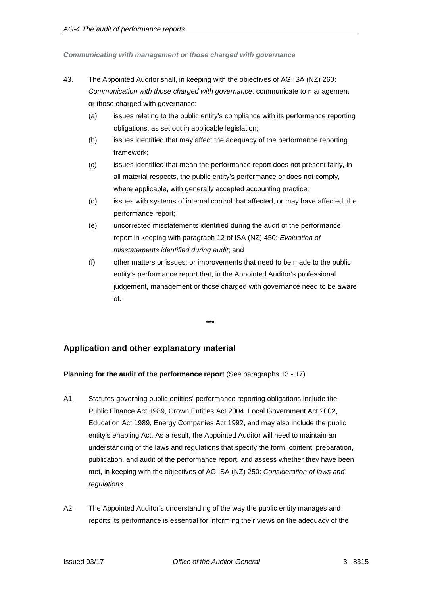*Communicating with management or those charged with governance*

- 43. The Appointed Auditor shall, in keeping with the objectives of AG ISA (NZ) 260: *Communication with those charged with governance*, communicate to management or those charged with governance:
	- (a) issues relating to the public entity's compliance with its performance reporting obligations, as set out in applicable legislation;
	- (b) issues identified that may affect the adequacy of the performance reporting framework;
	- (c) issues identified that mean the performance report does not present fairly, in all material respects, the public entity's performance or does not comply, where applicable, with generally accepted accounting practice;
	- (d) issues with systems of internal control that affected, or may have affected, the performance report;
	- (e) uncorrected misstatements identified during the audit of the performance report in keeping with paragraph 12 of ISA (NZ) 450: *Evaluation of misstatements identified during audit*; and
	- (f) other matters or issues, or improvements that need to be made to the public entity's performance report that, in the Appointed Auditor's professional judgement, management or those charged with governance need to be aware of.

#### **\*\*\***

## **Application and other explanatory material**

## **Planning for the audit of the performance report** (See paragraphs 13 - 17)

- A1. Statutes governing public entities' performance reporting obligations include the Public Finance Act 1989, Crown Entities Act 2004, Local Government Act 2002, Education Act 1989, Energy Companies Act 1992, and may also include the public entity's enabling Act. As a result, the Appointed Auditor will need to maintain an understanding of the laws and regulations that specify the form, content, preparation, publication, and audit of the performance report, and assess whether they have been met, in keeping with the objectives of AG ISA (NZ) 250: *Consideration of laws and regulations*.
- A2. The Appointed Auditor's understanding of the way the public entity manages and reports its performance is essential for informing their views on the adequacy of the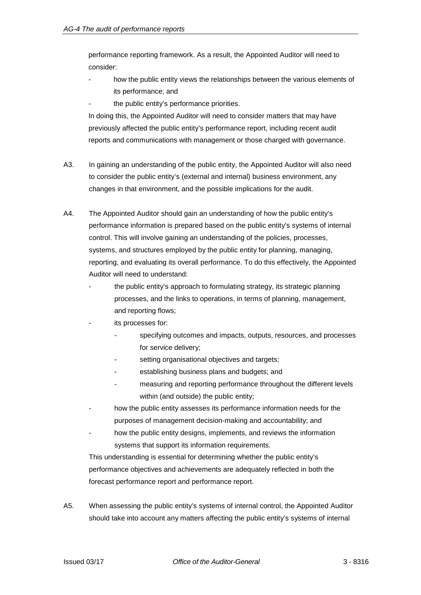performance reporting framework. As a result, the Appointed Auditor will need to consider:

- how the public entity views the relationships between the various elements of its performance; and
- the public entity's performance priorities.

In doing this, the Appointed Auditor will need to consider matters that may have previously affected the public entity's performance report, including recent audit reports and communications with management or those charged with governance.

- A3. In gaining an understanding of the public entity, the Appointed Auditor will also need to consider the public entity's (external and internal) business environment, any changes in that environment, and the possible implications for the audit.
- A4. The Appointed Auditor should gain an understanding of how the public entity's performance information is prepared based on the public entity's systems of internal control. This will involve gaining an understanding of the policies, processes, systems, and structures employed by the public entity for planning, managing, reporting, and evaluating its overall performance. To do this effectively, the Appointed Auditor will need to understand:
	- the public entity's approach to formulating strategy, its strategic planning processes, and the links to operations, in terms of planning, management, and reporting flows;
	- its processes for:
		- specifying outcomes and impacts, outputs, resources, and processes for service delivery;
		- setting organisational objectives and targets;
		- establishing business plans and budgets; and
		- measuring and reporting performance throughout the different levels within (and outside) the public entity;
	- how the public entity assesses its performance information needs for the purposes of management decision-making and accountability; and
	- how the public entity designs, implements, and reviews the information systems that support its information requirements.

This understanding is essential for determining whether the public entity's performance objectives and achievements are adequately reflected in both the forecast performance report and performance report.

A5. When assessing the public entity's systems of internal control, the Appointed Auditor should take into account any matters affecting the public entity's systems of internal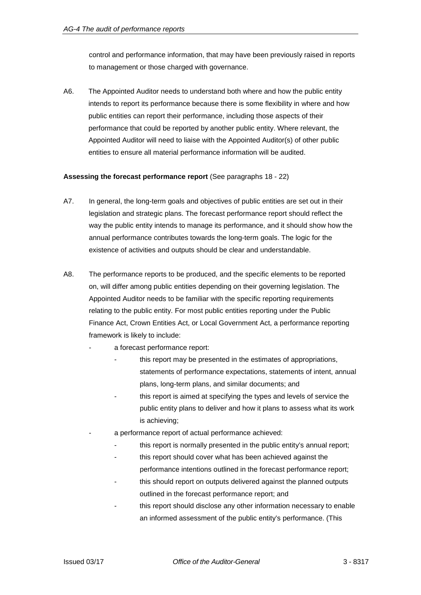control and performance information, that may have been previously raised in reports to management or those charged with governance.

A6. The Appointed Auditor needs to understand both where and how the public entity intends to report its performance because there is some flexibility in where and how public entities can report their performance, including those aspects of their performance that could be reported by another public entity. Where relevant, the Appointed Auditor will need to liaise with the Appointed Auditor(s) of other public entities to ensure all material performance information will be audited.

#### **Assessing the forecast performance report** (See paragraphs 18 - 22)

- A7. In general, the long-term goals and objectives of public entities are set out in their legislation and strategic plans. The forecast performance report should reflect the way the public entity intends to manage its performance, and it should show how the annual performance contributes towards the long-term goals. The logic for the existence of activities and outputs should be clear and understandable.
- A8. The performance reports to be produced, and the specific elements to be reported on, will differ among public entities depending on their governing legislation. The Appointed Auditor needs to be familiar with the specific reporting requirements relating to the public entity. For most public entities reporting under the Public Finance Act, Crown Entities Act, or Local Government Act, a performance reporting framework is likely to include:
	- a forecast performance report:
		- this report may be presented in the estimates of appropriations, statements of performance expectations, statements of intent, annual plans, long-term plans, and similar documents; and
		- this report is aimed at specifying the types and levels of service the public entity plans to deliver and how it plans to assess what its work is achieving;
		- a performance report of actual performance achieved:
			- this report is normally presented in the public entity's annual report;
			- this report should cover what has been achieved against the
			- performance intentions outlined in the forecast performance report;
			- this should report on outputs delivered against the planned outputs outlined in the forecast performance report; and
			- this report should disclose any other information necessary to enable an informed assessment of the public entity's performance. (This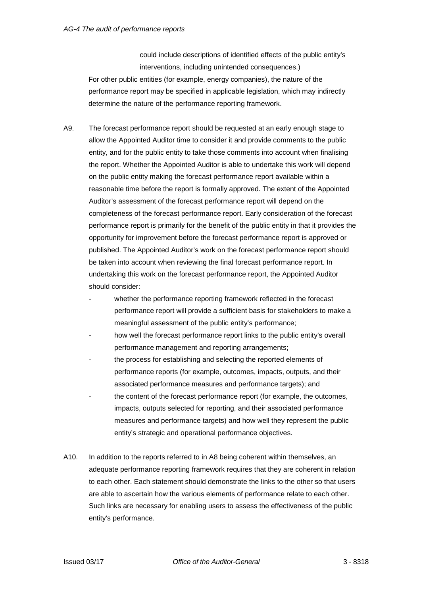could include descriptions of identified effects of the public entity's interventions, including unintended consequences.) For other public entities (for example, energy companies), the nature of the performance report may be specified in applicable legislation, which may indirectly determine the nature of the performance reporting framework.

- A9. The forecast performance report should be requested at an early enough stage to allow the Appointed Auditor time to consider it and provide comments to the public entity, and for the public entity to take those comments into account when finalising the report. Whether the Appointed Auditor is able to undertake this work will depend on the public entity making the forecast performance report available within a reasonable time before the report is formally approved. The extent of the Appointed Auditor's assessment of the forecast performance report will depend on the completeness of the forecast performance report. Early consideration of the forecast performance report is primarily for the benefit of the public entity in that it provides the opportunity for improvement before the forecast performance report is approved or published. The Appointed Auditor's work on the forecast performance report should be taken into account when reviewing the final forecast performance report. In undertaking this work on the forecast performance report, the Appointed Auditor should consider:
	- whether the performance reporting framework reflected in the forecast performance report will provide a sufficient basis for stakeholders to make a meaningful assessment of the public entity's performance;
	- how well the forecast performance report links to the public entity's overall performance management and reporting arrangements;
	- the process for establishing and selecting the reported elements of performance reports (for example, outcomes, impacts, outputs, and their associated performance measures and performance targets); and
	- the content of the forecast performance report (for example, the outcomes, impacts, outputs selected for reporting, and their associated performance measures and performance targets) and how well they represent the public entity's strategic and operational performance objectives.
- A10. In addition to the reports referred to in A8 being coherent within themselves, an adequate performance reporting framework requires that they are coherent in relation to each other. Each statement should demonstrate the links to the other so that users are able to ascertain how the various elements of performance relate to each other. Such links are necessary for enabling users to assess the effectiveness of the public entity's performance.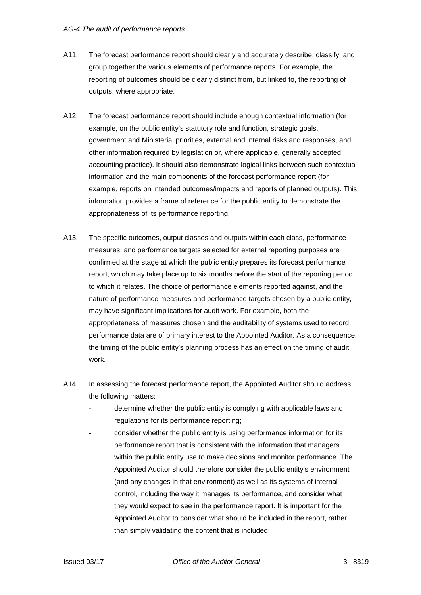- A11. The forecast performance report should clearly and accurately describe, classify, and group together the various elements of performance reports. For example, the reporting of outcomes should be clearly distinct from, but linked to, the reporting of outputs, where appropriate.
- A12. The forecast performance report should include enough contextual information (for example, on the public entity's statutory role and function, strategic goals, government and Ministerial priorities, external and internal risks and responses, and other information required by legislation or, where applicable, generally accepted accounting practice). It should also demonstrate logical links between such contextual information and the main components of the forecast performance report (for example, reports on intended outcomes/impacts and reports of planned outputs). This information provides a frame of reference for the public entity to demonstrate the appropriateness of its performance reporting.
- A13. The specific outcomes, output classes and outputs within each class, performance measures, and performance targets selected for external reporting purposes are confirmed at the stage at which the public entity prepares its forecast performance report, which may take place up to six months before the start of the reporting period to which it relates. The choice of performance elements reported against, and the nature of performance measures and performance targets chosen by a public entity, may have significant implications for audit work. For example, both the appropriateness of measures chosen and the auditability of systems used to record performance data are of primary interest to the Appointed Auditor. As a consequence, the timing of the public entity's planning process has an effect on the timing of audit work.
- A14. In assessing the forecast performance report, the Appointed Auditor should address the following matters:
	- determine whether the public entity is complying with applicable laws and regulations for its performance reporting;
	- consider whether the public entity is using performance information for its performance report that is consistent with the information that managers within the public entity use to make decisions and monitor performance. The Appointed Auditor should therefore consider the public entity's environment (and any changes in that environment) as well as its systems of internal control, including the way it manages its performance, and consider what they would expect to see in the performance report. It is important for the Appointed Auditor to consider what should be included in the report, rather than simply validating the content that is included;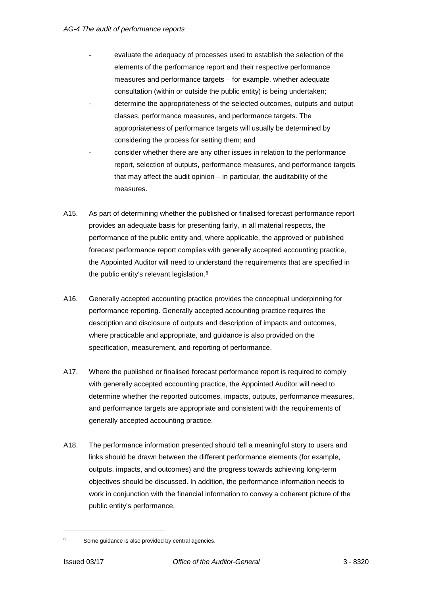- evaluate the adequacy of processes used to establish the selection of the elements of the performance report and their respective performance measures and performance targets – for example, whether adequate consultation (within or outside the public entity) is being undertaken;
- determine the appropriateness of the selected outcomes, outputs and output classes, performance measures, and performance targets. The appropriateness of performance targets will usually be determined by considering the process for setting them; and
- consider whether there are any other issues in relation to the performance report, selection of outputs, performance measures, and performance targets that may affect the audit opinion – in particular, the auditability of the measures.
- A15. As part of determining whether the published or finalised forecast performance report provides an adequate basis for presenting fairly, in all material respects, the performance of the public entity and, where applicable, the approved or published forecast performance report complies with generally accepted accounting practice, the Appointed Auditor will need to understand the requirements that are specified in the public entity's relevant legislation.<sup>8</sup>
- A16. Generally accepted accounting practice provides the conceptual underpinning for performance reporting. Generally accepted accounting practice requires the description and disclosure of outputs and description of impacts and outcomes, where practicable and appropriate, and guidance is also provided on the specification, measurement, and reporting of performance.
- A17. Where the published or finalised forecast performance report is required to comply with generally accepted accounting practice, the Appointed Auditor will need to determine whether the reported outcomes, impacts, outputs, performance measures, and performance targets are appropriate and consistent with the requirements of generally accepted accounting practice.
- A18. The performance information presented should tell a meaningful story to users and links should be drawn between the different performance elements (for example, outputs, impacts, and outcomes) and the progress towards achieving long-term objectives should be discussed. In addition, the performance information needs to work in conjunction with the financial information to convey a coherent picture of the public entity's performance.

Some guidance is also provided by central agencies.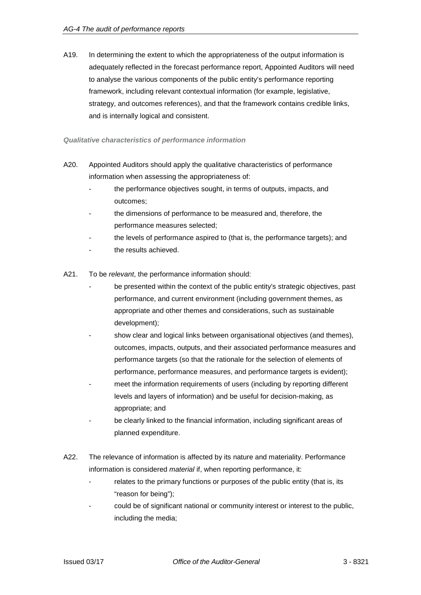A19. In determining the extent to which the appropriateness of the output information is adequately reflected in the forecast performance report, Appointed Auditors will need to analyse the various components of the public entity's performance reporting framework, including relevant contextual information (for example, legislative, strategy, and outcomes references), and that the framework contains credible links, and is internally logical and consistent.

#### *Qualitative characteristics of performance information*

- A20. Appointed Auditors should apply the qualitative characteristics of performance information when assessing the appropriateness of:
	- the performance objectives sought, in terms of outputs, impacts, and outcomes;
	- the dimensions of performance to be measured and, therefore, the performance measures selected;
	- the levels of performance aspired to (that is, the performance targets); and
	- the results achieved.
- A21. To be *relevant*, the performance information should:
	- be presented within the context of the public entity's strategic objectives, past performance, and current environment (including government themes, as appropriate and other themes and considerations, such as sustainable development);
	- show clear and logical links between organisational objectives (and themes), outcomes, impacts, outputs, and their associated performance measures and performance targets (so that the rationale for the selection of elements of performance, performance measures, and performance targets is evident);
	- meet the information requirements of users (including by reporting different levels and layers of information) and be useful for decision-making, as appropriate; and
	- be clearly linked to the financial information, including significant areas of planned expenditure.
- A22. The relevance of information is affected by its nature and materiality. Performance information is considered *material* if, when reporting performance, it:
	- relates to the primary functions or purposes of the public entity (that is, its "reason for being");
	- could be of significant national or community interest or interest to the public, including the media;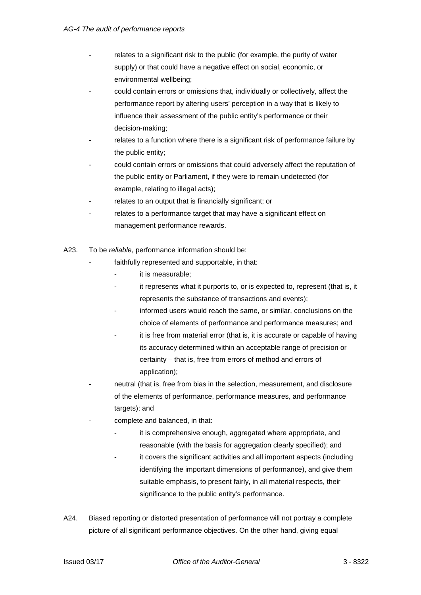- relates to a significant risk to the public (for example, the purity of water supply) or that could have a negative effect on social, economic, or environmental wellbeing;
- could contain errors or omissions that, individually or collectively, affect the performance report by altering users' perception in a way that is likely to influence their assessment of the public entity's performance or their decision-making;
- relates to a function where there is a significant risk of performance failure by the public entity;
- could contain errors or omissions that could adversely affect the reputation of the public entity or Parliament, if they were to remain undetected (for example, relating to illegal acts);
- relates to an output that is financially significant; or
- relates to a performance target that may have a significant effect on management performance rewards.
- A23. To be *reliable*, performance information should be:
	- faithfully represented and supportable, in that:
		- it is measurable:
		- it represents what it purports to, or is expected to, represent (that is, it represents the substance of transactions and events);
		- informed users would reach the same, or similar, conclusions on the choice of elements of performance and performance measures; and
		- it is free from material error (that is, it is accurate or capable of having its accuracy determined within an acceptable range of precision or certainty – that is, free from errors of method and errors of application);
	- neutral (that is, free from bias in the selection, measurement, and disclosure of the elements of performance, performance measures, and performance targets); and
	- complete and balanced, in that:
		- it is comprehensive enough, aggregated where appropriate, and reasonable (with the basis for aggregation clearly specified); and
		- it covers the significant activities and all important aspects (including identifying the important dimensions of performance), and give them suitable emphasis, to present fairly, in all material respects, their significance to the public entity's performance.
- A24. Biased reporting or distorted presentation of performance will not portray a complete picture of all significant performance objectives. On the other hand, giving equal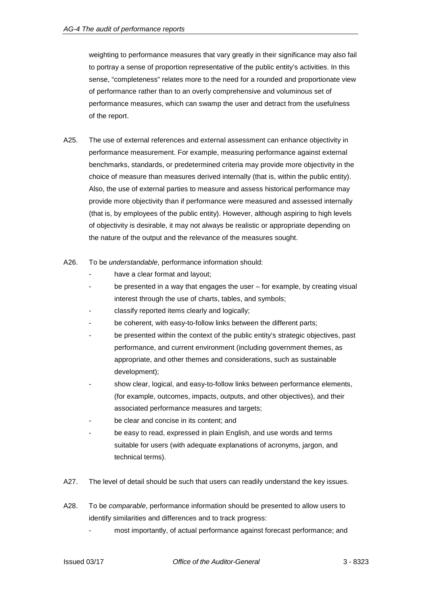weighting to performance measures that vary greatly in their significance may also fail to portray a sense of proportion representative of the public entity's activities. In this sense, "completeness" relates more to the need for a rounded and proportionate view of performance rather than to an overly comprehensive and voluminous set of performance measures, which can swamp the user and detract from the usefulness of the report.

- A25. The use of external references and external assessment can enhance objectivity in performance measurement. For example, measuring performance against external benchmarks, standards, or predetermined criteria may provide more objectivity in the choice of measure than measures derived internally (that is, within the public entity). Also, the use of external parties to measure and assess historical performance may provide more objectivity than if performance were measured and assessed internally (that is, by employees of the public entity). However, although aspiring to high levels of objectivity is desirable, it may not always be realistic or appropriate depending on the nature of the output and the relevance of the measures sought.
- A26. To be *understandable*, performance information should:
	- have a clear format and layout;
	- be presented in a way that engages the user  $-$  for example, by creating visual interest through the use of charts, tables, and symbols;
	- classify reported items clearly and logically;
	- be coherent, with easy-to-follow links between the different parts;
	- be presented within the context of the public entity's strategic objectives, past performance, and current environment (including government themes, as appropriate, and other themes and considerations, such as sustainable development);
	- show clear, logical, and easy-to-follow links between performance elements, (for example, outcomes, impacts, outputs, and other objectives), and their associated performance measures and targets;
	- be clear and concise in its content; and
	- be easy to read, expressed in plain English, and use words and terms suitable for users (with adequate explanations of acronyms, jargon, and technical terms).
- A27. The level of detail should be such that users can readily understand the key issues.
- A28. To be *comparable*, performance information should be presented to allow users to identify similarities and differences and to track progress:
	- most importantly, of actual performance against forecast performance; and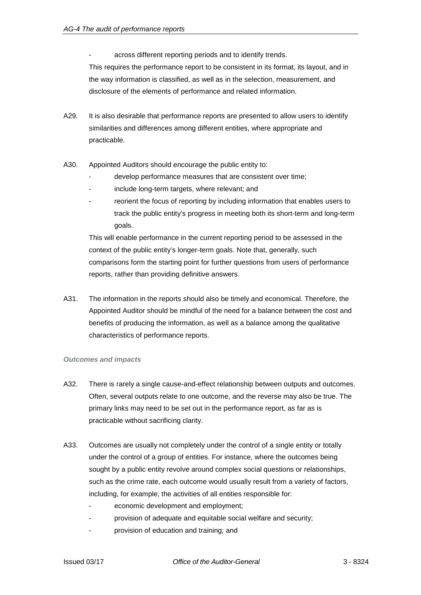across different reporting periods and to identify trends.

This requires the performance report to be consistent in its format, its layout, and in the way information is classified, as well as in the selection, measurement, and disclosure of the elements of performance and related information.

- A29. It is also desirable that performance reports are presented to allow users to identify similarities and differences among different entities, where appropriate and practicable.
- A30. Appointed Auditors should encourage the public entity to:
	- develop performance measures that are consistent over time:
	- include long-term targets, where relevant; and
	- reorient the focus of reporting by including information that enables users to track the public entity's progress in meeting both its short-term and long-term goals.

This will enable performance in the current reporting period to be assessed in the context of the public entity's longer-term goals. Note that, generally, such comparisons form the starting point for further questions from users of performance reports, rather than providing definitive answers.

A31. The information in the reports should also be timely and economical. Therefore, the Appointed Auditor should be mindful of the need for a balance between the cost and benefits of producing the information, as well as a balance among the qualitative characteristics of performance reports.

#### *Outcomes and impacts*

- A32. There is rarely a single cause-and-effect relationship between outputs and outcomes. Often, several outputs relate to one outcome, and the reverse may also be true. The primary links may need to be set out in the performance report, as far as is practicable without sacrificing clarity.
- A33. Outcomes are usually not completely under the control of a single entity or totally under the control of a group of entities. For instance, where the outcomes being sought by a public entity revolve around complex social questions or relationships, such as the crime rate, each outcome would usually result from a variety of factors, including, for example, the activities of all entities responsible for:
	- economic development and employment;
	- provision of adequate and equitable social welfare and security;
	- provision of education and training; and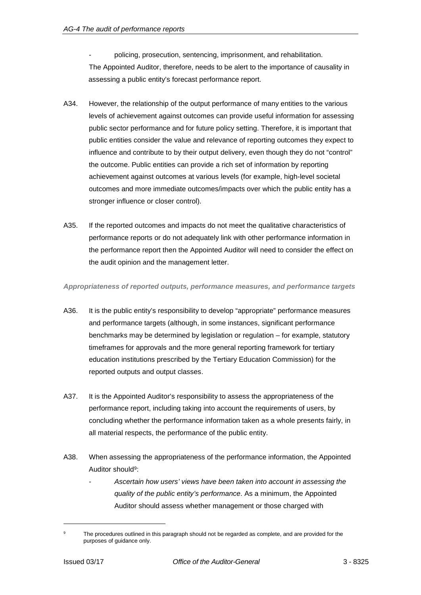policing, prosecution, sentencing, imprisonment, and rehabilitation. The Appointed Auditor, therefore, needs to be alert to the importance of causality in assessing a public entity's forecast performance report.

- A34. However, the relationship of the output performance of many entities to the various levels of achievement against outcomes can provide useful information for assessing public sector performance and for future policy setting. Therefore, it is important that public entities consider the value and relevance of reporting outcomes they expect to influence and contribute to by their output delivery, even though they do not "control" the outcome. Public entities can provide a rich set of information by reporting achievement against outcomes at various levels (for example, high-level societal outcomes and more immediate outcomes/impacts over which the public entity has a stronger influence or closer control).
- A35. If the reported outcomes and impacts do not meet the qualitative characteristics of performance reports or do not adequately link with other performance information in the performance report then the Appointed Auditor will need to consider the effect on the audit opinion and the management letter.

*Appropriateness of reported outputs, performance measures, and performance targets*

- A36. It is the public entity's responsibility to develop "appropriate" performance measures and performance targets (although, in some instances, significant performance benchmarks may be determined by legislation or regulation – for example, statutory timeframes for approvals and the more general reporting framework for tertiary education institutions prescribed by the Tertiary Education Commission) for the reported outputs and output classes.
- A37. It is the Appointed Auditor's responsibility to assess the appropriateness of the performance report, including taking into account the requirements of users, by concluding whether the performance information taken as a whole presents fairly, in all material respects, the performance of the public entity.
- A38. When assessing the appropriateness of the performance information, the Appointed Auditor should<sup>9</sup>:
	- *Ascertain how users' views have been taken into account in assessing the quality of the public entity's performance*. As a minimum, the Appointed Auditor should assess whether management or those charged with

The procedures outlined in this paragraph should not be regarded as complete, and are provided for the purposes of guidance only.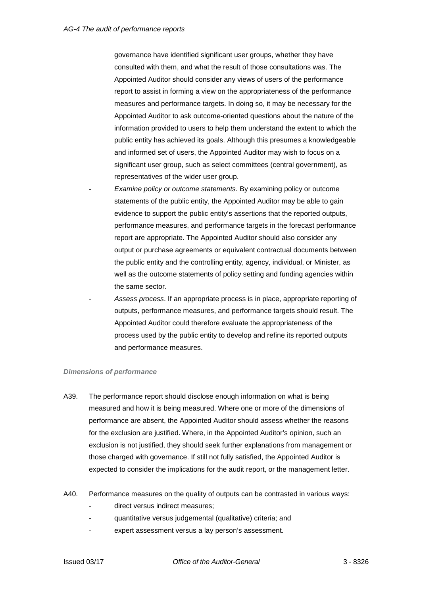governance have identified significant user groups, whether they have consulted with them, and what the result of those consultations was. The Appointed Auditor should consider any views of users of the performance report to assist in forming a view on the appropriateness of the performance measures and performance targets. In doing so, it may be necessary for the Appointed Auditor to ask outcome-oriented questions about the nature of the information provided to users to help them understand the extent to which the public entity has achieved its goals. Although this presumes a knowledgeable and informed set of users, the Appointed Auditor may wish to focus on a significant user group, such as select committees (central government), as representatives of the wider user group.

- *Examine policy or outcome statements*. By examining policy or outcome statements of the public entity, the Appointed Auditor may be able to gain evidence to support the public entity's assertions that the reported outputs, performance measures, and performance targets in the forecast performance report are appropriate. The Appointed Auditor should also consider any output or purchase agreements or equivalent contractual documents between the public entity and the controlling entity, agency, individual, or Minister, as well as the outcome statements of policy setting and funding agencies within the same sector.
- *Assess process*. If an appropriate process is in place, appropriate reporting of outputs, performance measures, and performance targets should result. The Appointed Auditor could therefore evaluate the appropriateness of the process used by the public entity to develop and refine its reported outputs and performance measures.

#### *Dimensions of performance*

- A39. The performance report should disclose enough information on what is being measured and how it is being measured. Where one or more of the dimensions of performance are absent, the Appointed Auditor should assess whether the reasons for the exclusion are justified. Where, in the Appointed Auditor's opinion, such an exclusion is not justified, they should seek further explanations from management or those charged with governance. If still not fully satisfied, the Appointed Auditor is expected to consider the implications for the audit report, or the management letter.
- A40. Performance measures on the quality of outputs can be contrasted in various ways:
	- direct versus indirect measures:
	- quantitative versus judgemental (qualitative) criteria; and
	- expert assessment versus a lay person's assessment.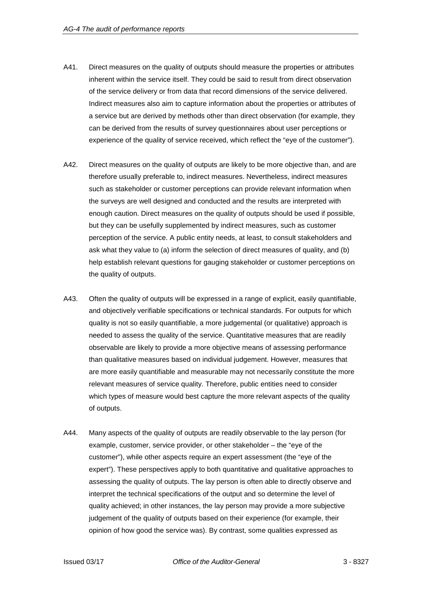- A41. Direct measures on the quality of outputs should measure the properties or attributes inherent within the service itself. They could be said to result from direct observation of the service delivery or from data that record dimensions of the service delivered. Indirect measures also aim to capture information about the properties or attributes of a service but are derived by methods other than direct observation (for example, they can be derived from the results of survey questionnaires about user perceptions or experience of the quality of service received, which reflect the "eye of the customer").
- A42. Direct measures on the quality of outputs are likely to be more objective than, and are therefore usually preferable to, indirect measures. Nevertheless, indirect measures such as stakeholder or customer perceptions can provide relevant information when the surveys are well designed and conducted and the results are interpreted with enough caution. Direct measures on the quality of outputs should be used if possible, but they can be usefully supplemented by indirect measures, such as customer perception of the service. A public entity needs, at least, to consult stakeholders and ask what they value to (a) inform the selection of direct measures of quality, and (b) help establish relevant questions for gauging stakeholder or customer perceptions on the quality of outputs.
- A43. Often the quality of outputs will be expressed in a range of explicit, easily quantifiable, and objectively verifiable specifications or technical standards. For outputs for which quality is not so easily quantifiable, a more judgemental (or qualitative) approach is needed to assess the quality of the service. Quantitative measures that are readily observable are likely to provide a more objective means of assessing performance than qualitative measures based on individual judgement. However, measures that are more easily quantifiable and measurable may not necessarily constitute the more relevant measures of service quality. Therefore, public entities need to consider which types of measure would best capture the more relevant aspects of the quality of outputs.
- A44. Many aspects of the quality of outputs are readily observable to the lay person (for example, customer, service provider, or other stakeholder – the "eye of the customer"), while other aspects require an expert assessment (the "eye of the expert"). These perspectives apply to both quantitative and qualitative approaches to assessing the quality of outputs. The lay person is often able to directly observe and interpret the technical specifications of the output and so determine the level of quality achieved; in other instances, the lay person may provide a more subjective judgement of the quality of outputs based on their experience (for example, their opinion of how good the service was). By contrast, some qualities expressed as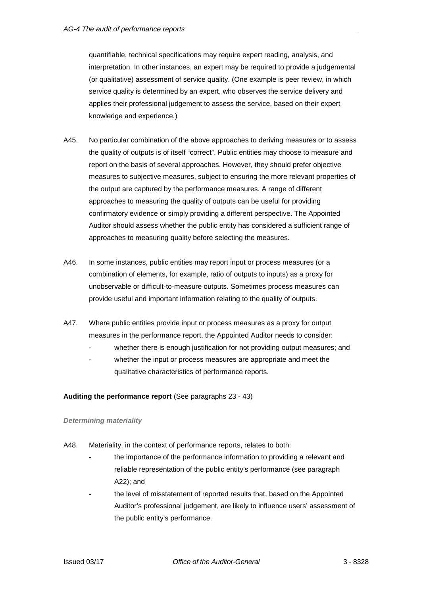quantifiable, technical specifications may require expert reading, analysis, and interpretation. In other instances, an expert may be required to provide a judgemental (or qualitative) assessment of service quality. (One example is peer review, in which service quality is determined by an expert, who observes the service delivery and applies their professional judgement to assess the service, based on their expert knowledge and experience.)

- A45. No particular combination of the above approaches to deriving measures or to assess the quality of outputs is of itself "correct". Public entities may choose to measure and report on the basis of several approaches. However, they should prefer objective measures to subjective measures, subject to ensuring the more relevant properties of the output are captured by the performance measures. A range of different approaches to measuring the quality of outputs can be useful for providing confirmatory evidence or simply providing a different perspective. The Appointed Auditor should assess whether the public entity has considered a sufficient range of approaches to measuring quality before selecting the measures.
- A46. In some instances, public entities may report input or process measures (or a combination of elements, for example, ratio of outputs to inputs) as a proxy for unobservable or difficult-to-measure outputs. Sometimes process measures can provide useful and important information relating to the quality of outputs.
- A47. Where public entities provide input or process measures as a proxy for output measures in the performance report, the Appointed Auditor needs to consider:
	- whether there is enough justification for not providing output measures; and
	- whether the input or process measures are appropriate and meet the qualitative characteristics of performance reports.

## **Auditing the performance report** (See paragraphs 23 - 43)

## *Determining materiality*

- A48. Materiality, in the context of performance reports, relates to both:
	- the importance of the performance information to providing a relevant and reliable representation of the public entity's performance (see paragraph A22); and
	- the level of misstatement of reported results that, based on the Appointed Auditor's professional judgement, are likely to influence users' assessment of the public entity's performance.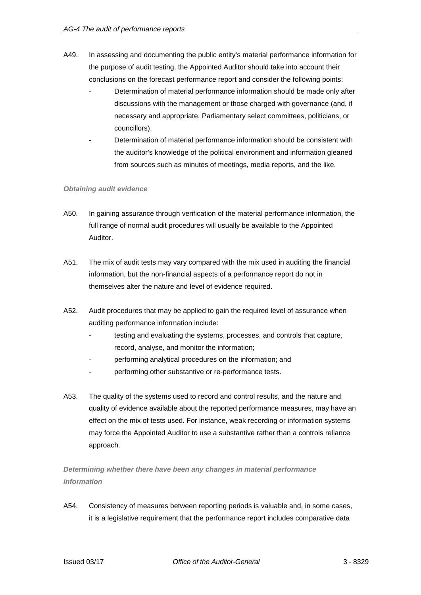- A49. In assessing and documenting the public entity's material performance information for the purpose of audit testing, the Appointed Auditor should take into account their conclusions on the forecast performance report and consider the following points:
	- Determination of material performance information should be made only after discussions with the management or those charged with governance (and, if necessary and appropriate, Parliamentary select committees, politicians, or councillors).
	- Determination of material performance information should be consistent with the auditor's knowledge of the political environment and information gleaned from sources such as minutes of meetings, media reports, and the like.

#### *Obtaining audit evidence*

- A50. In gaining assurance through verification of the material performance information, the full range of normal audit procedures will usually be available to the Appointed Auditor.
- A51. The mix of audit tests may vary compared with the mix used in auditing the financial information, but the non-financial aspects of a performance report do not in themselves alter the nature and level of evidence required.
- A52. Audit procedures that may be applied to gain the required level of assurance when auditing performance information include:
	- testing and evaluating the systems, processes, and controls that capture, record, analyse, and monitor the information;
	- performing analytical procedures on the information; and
	- performing other substantive or re-performance tests.
- A53. The quality of the systems used to record and control results, and the nature and quality of evidence available about the reported performance measures, may have an effect on the mix of tests used. For instance, weak recording or information systems may force the Appointed Auditor to use a substantive rather than a controls reliance approach.

*Determining whether there have been any changes in material performance information*

A54. Consistency of measures between reporting periods is valuable and, in some cases, it is a legislative requirement that the performance report includes comparative data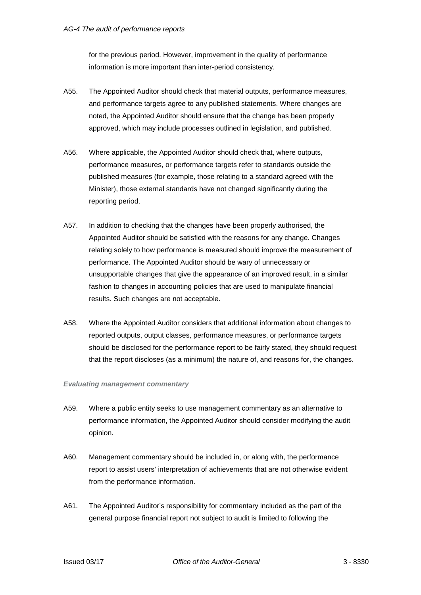for the previous period. However, improvement in the quality of performance information is more important than inter-period consistency.

- A55. The Appointed Auditor should check that material outputs, performance measures, and performance targets agree to any published statements. Where changes are noted, the Appointed Auditor should ensure that the change has been properly approved, which may include processes outlined in legislation, and published.
- A56. Where applicable, the Appointed Auditor should check that, where outputs, performance measures, or performance targets refer to standards outside the published measures (for example, those relating to a standard agreed with the Minister), those external standards have not changed significantly during the reporting period.
- A57. In addition to checking that the changes have been properly authorised, the Appointed Auditor should be satisfied with the reasons for any change. Changes relating solely to how performance is measured should improve the measurement of performance. The Appointed Auditor should be wary of unnecessary or unsupportable changes that give the appearance of an improved result, in a similar fashion to changes in accounting policies that are used to manipulate financial results. Such changes are not acceptable.
- A58. Where the Appointed Auditor considers that additional information about changes to reported outputs, output classes, performance measures, or performance targets should be disclosed for the performance report to be fairly stated, they should request that the report discloses (as a minimum) the nature of, and reasons for, the changes.

#### *Evaluating management commentary*

- A59. Where a public entity seeks to use management commentary as an alternative to performance information, the Appointed Auditor should consider modifying the audit opinion.
- A60. Management commentary should be included in, or along with, the performance report to assist users' interpretation of achievements that are not otherwise evident from the performance information.
- A61. The Appointed Auditor's responsibility for commentary included as the part of the general purpose financial report not subject to audit is limited to following the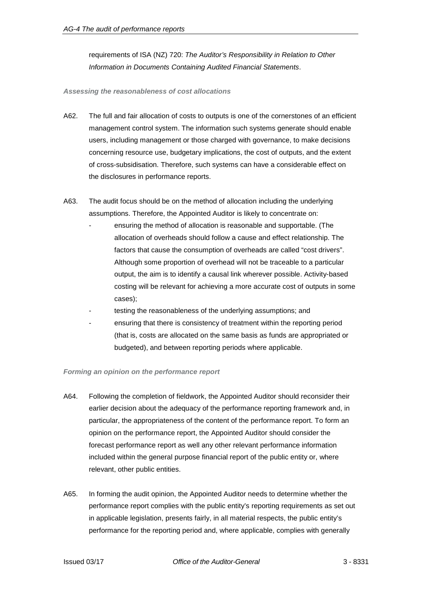requirements of ISA (NZ) 720: *The Auditor's Responsibility in Relation to Other Information in Documents Containing Audited Financial Statements*.

#### *Assessing the reasonableness of cost allocations*

- A62. The full and fair allocation of costs to outputs is one of the cornerstones of an efficient management control system. The information such systems generate should enable users, including management or those charged with governance, to make decisions concerning resource use, budgetary implications, the cost of outputs, and the extent of cross-subsidisation. Therefore, such systems can have a considerable effect on the disclosures in performance reports.
- A63. The audit focus should be on the method of allocation including the underlying assumptions. Therefore, the Appointed Auditor is likely to concentrate on:
	- ensuring the method of allocation is reasonable and supportable. (The allocation of overheads should follow a cause and effect relationship. The factors that cause the consumption of overheads are called "cost drivers". Although some proportion of overhead will not be traceable to a particular output, the aim is to identify a causal link wherever possible. Activity-based costing will be relevant for achieving a more accurate cost of outputs in some cases);
	- testing the reasonableness of the underlying assumptions; and
	- ensuring that there is consistency of treatment within the reporting period (that is, costs are allocated on the same basis as funds are appropriated or budgeted), and between reporting periods where applicable.

## *Forming an opinion on the performance report*

- A64. Following the completion of fieldwork, the Appointed Auditor should reconsider their earlier decision about the adequacy of the performance reporting framework and, in particular, the appropriateness of the content of the performance report. To form an opinion on the performance report, the Appointed Auditor should consider the forecast performance report as well any other relevant performance information included within the general purpose financial report of the public entity or, where relevant, other public entities.
- A65. In forming the audit opinion, the Appointed Auditor needs to determine whether the performance report complies with the public entity's reporting requirements as set out in applicable legislation, presents fairly, in all material respects, the public entity's performance for the reporting period and, where applicable, complies with generally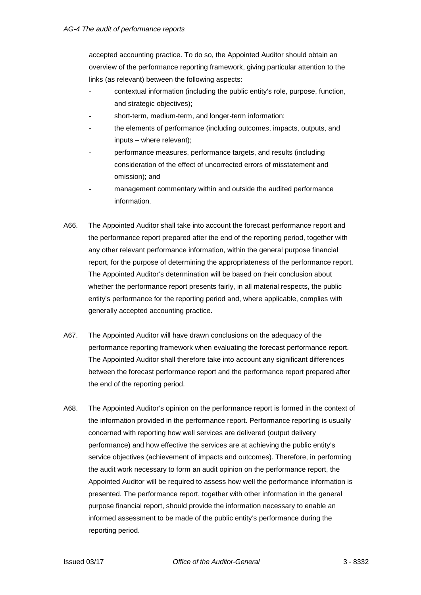accepted accounting practice. To do so, the Appointed Auditor should obtain an overview of the performance reporting framework, giving particular attention to the links (as relevant) between the following aspects:

- contextual information (including the public entity's role, purpose, function, and strategic objectives);
- short-term, medium-term, and longer-term information;
- the elements of performance (including outcomes, impacts, outputs, and inputs – where relevant);
- performance measures, performance targets, and results (including consideration of the effect of uncorrected errors of misstatement and omission); and
- management commentary within and outside the audited performance information.
- A66. The Appointed Auditor shall take into account the forecast performance report and the performance report prepared after the end of the reporting period, together with any other relevant performance information, within the general purpose financial report, for the purpose of determining the appropriateness of the performance report. The Appointed Auditor's determination will be based on their conclusion about whether the performance report presents fairly, in all material respects, the public entity's performance for the reporting period and, where applicable, complies with generally accepted accounting practice.
- A67. The Appointed Auditor will have drawn conclusions on the adequacy of the performance reporting framework when evaluating the forecast performance report. The Appointed Auditor shall therefore take into account any significant differences between the forecast performance report and the performance report prepared after the end of the reporting period.
- A68. The Appointed Auditor's opinion on the performance report is formed in the context of the information provided in the performance report. Performance reporting is usually concerned with reporting how well services are delivered (output delivery performance) and how effective the services are at achieving the public entity's service objectives (achievement of impacts and outcomes). Therefore, in performing the audit work necessary to form an audit opinion on the performance report, the Appointed Auditor will be required to assess how well the performance information is presented. The performance report, together with other information in the general purpose financial report, should provide the information necessary to enable an informed assessment to be made of the public entity's performance during the reporting period.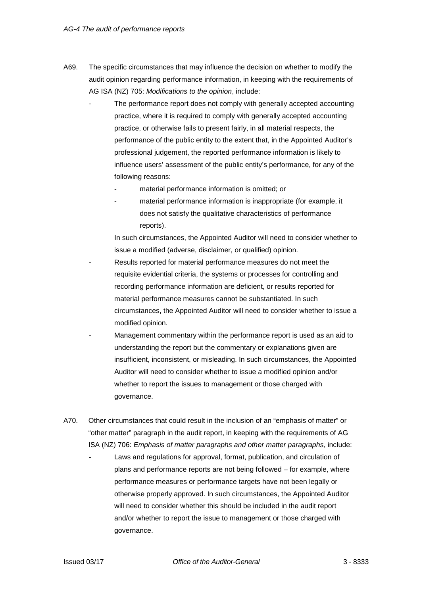- A69. The specific circumstances that may influence the decision on whether to modify the audit opinion regarding performance information, in keeping with the requirements of AG ISA (NZ) 705: *Modifications to the opinion*, include:
	- The performance report does not comply with generally accepted accounting practice, where it is required to comply with generally accepted accounting practice, or otherwise fails to present fairly, in all material respects, the performance of the public entity to the extent that, in the Appointed Auditor's professional judgement, the reported performance information is likely to influence users' assessment of the public entity's performance, for any of the following reasons:
		- material performance information is omitted; or
		- material performance information is inappropriate (for example, it does not satisfy the qualitative characteristics of performance reports).

In such circumstances, the Appointed Auditor will need to consider whether to issue a modified (adverse, disclaimer, or qualified) opinion.

- Results reported for material performance measures do not meet the requisite evidential criteria, the systems or processes for controlling and recording performance information are deficient, or results reported for material performance measures cannot be substantiated. In such circumstances, the Appointed Auditor will need to consider whether to issue a modified opinion.
- Management commentary within the performance report is used as an aid to understanding the report but the commentary or explanations given are insufficient, inconsistent, or misleading. In such circumstances, the Appointed Auditor will need to consider whether to issue a modified opinion and/or whether to report the issues to management or those charged with governance.
- A70. Other circumstances that could result in the inclusion of an "emphasis of matter" or "other matter" paragraph in the audit report, in keeping with the requirements of AG ISA (NZ) 706: *Emphasis of matter paragraphs and other matter paragraphs*, include:
	- Laws and regulations for approval, format, publication, and circulation of plans and performance reports are not being followed – for example, where performance measures or performance targets have not been legally or otherwise properly approved. In such circumstances, the Appointed Auditor will need to consider whether this should be included in the audit report and/or whether to report the issue to management or those charged with governance.